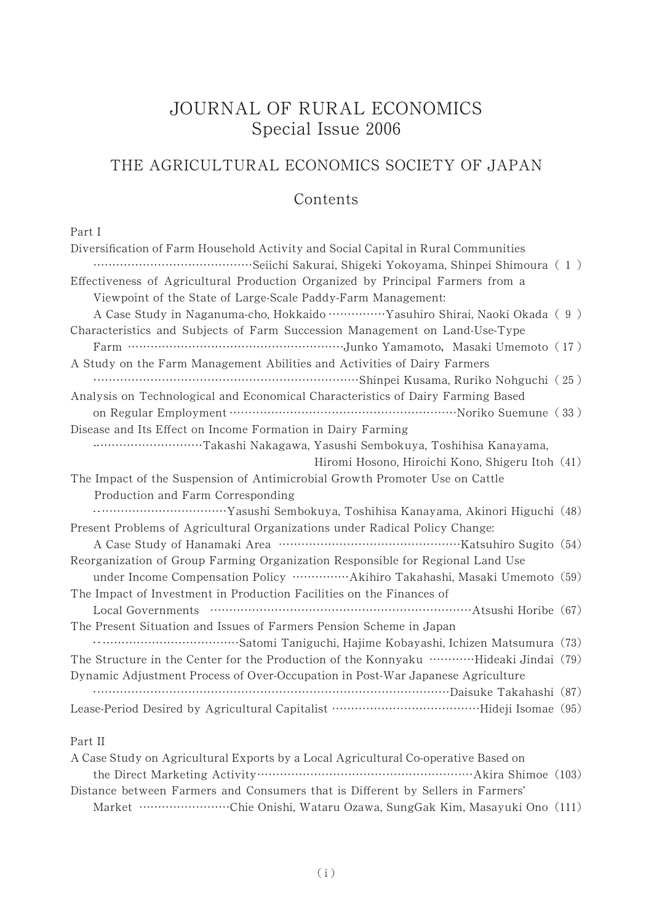## JOURNAL OF RURAL ECONOMICS Special Issue 2006

# THE AGRICULTURAL ECONOMICS SOCIETY OF JAPAN

### Contents

#### Part I

| Diversification of Farm Household Activity and Social Capital in Rural Communities            |
|-----------------------------------------------------------------------------------------------|
|                                                                                               |
| Effectiveness of Agricultural Production Organized by Principal Farmers from a                |
| Viewpoint of the State of Large-Scale Paddy-Farm Management:                                  |
| A Case Study in Naganuma-cho, Hokkaido ……………Yasuhiro Shirai, Naoki Okada (9)                  |
| Characteristics and Subjects of Farm Succession Management on Land-Use-Type                   |
|                                                                                               |
| A Study on the Farm Management Abilities and Activities of Dairy Farmers                      |
|                                                                                               |
| Analysis on Technological and Economical Characteristics of Dairy Farming Based               |
|                                                                                               |
| Disease and Its Effect on Income Formation in Dairy Farming                                   |
| Takashi Nakagawa, Yasushi Sembokuya, Toshihisa Kanayama,                                      |
| Hiromi Hosono, Hiroichi Kono, Shigeru Itoh (41)                                               |
| The Impact of the Suspension of Antimicrobial Growth Promoter Use on Cattle                   |
| Production and Farm Corresponding                                                             |
|                                                                                               |
| Present Problems of Agricultural Organizations under Radical Policy Change:                   |
|                                                                                               |
| Reorganization of Group Farming Organization Responsible for Regional Land Use                |
| under Income Compensation Policy ······················Akihiro Takahashi, Masaki Umemoto (59) |
| The Impact of Investment in Production Facilities on the Finances of                          |
|                                                                                               |
| The Present Situation and Issues of Farmers Pension Scheme in Japan                           |
|                                                                                               |
| The Structure in the Center for the Production of the Konnyaku …………Hideaki Jindai (79)        |
| Dynamic Adjustment Process of Over-Occupation in Post-War Japanese Agriculture                |
|                                                                                               |
|                                                                                               |
|                                                                                               |

#### Part II

| A Case Study on Agricultural Exports by a Local Agricultural Co-operative Based on |  |
|------------------------------------------------------------------------------------|--|
|                                                                                    |  |
| Distance between Farmers and Consumers that is Different by Sellers in Farmers'    |  |
| Market …………………………Chie Onishi, Wataru Ozawa, SungGak Kim, Masayuki Ono (111)        |  |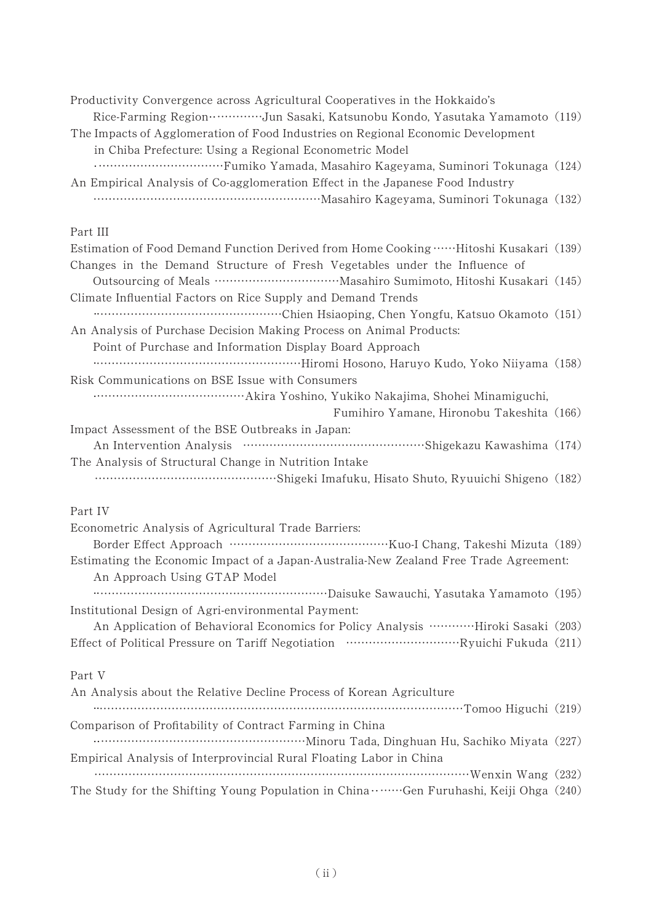| Productivity Convergence across Agricultural Cooperatives in the Hokkaido's<br>Rice-Farming Region ·················Jun Sasaki, Katsunobu Kondo, Yasutaka Yamamoto (119) |  |
|--------------------------------------------------------------------------------------------------------------------------------------------------------------------------|--|
| The Impacts of Agglomeration of Food Industries on Regional Economic Development                                                                                         |  |
| in Chiba Prefecture: Using a Regional Econometric Model                                                                                                                  |  |
| An Empirical Analysis of Co-agglomeration Effect in the Japanese Food Industry                                                                                           |  |
|                                                                                                                                                                          |  |
| Part III                                                                                                                                                                 |  |
| Estimation of Food Demand Function Derived from Home Cooking  Hitoshi Kusakari (139)                                                                                     |  |
| Changes in the Demand Structure of Fresh Vegetables under the Influence of                                                                                               |  |
| Climate Influential Factors on Rice Supply and Demand Trends                                                                                                             |  |
|                                                                                                                                                                          |  |
| An Analysis of Purchase Decision Making Process on Animal Products:                                                                                                      |  |
| Point of Purchase and Information Display Board Approach                                                                                                                 |  |
|                                                                                                                                                                          |  |
| Risk Communications on BSE Issue with Consumers                                                                                                                          |  |
| Fumihiro Yamane, Hironobu Takeshita (166)                                                                                                                                |  |
| Impact Assessment of the BSE Outbreaks in Japan:                                                                                                                         |  |
|                                                                                                                                                                          |  |
| The Analysis of Structural Change in Nutrition Intake                                                                                                                    |  |
|                                                                                                                                                                          |  |
| Part IV                                                                                                                                                                  |  |
| Econometric Analysis of Agricultural Trade Barriers:                                                                                                                     |  |
|                                                                                                                                                                          |  |
| Estimating the Economic Impact of a Japan-Australia-New Zealand Free Trade Agreement:<br>An Approach Using GTAP Model                                                    |  |
|                                                                                                                                                                          |  |
| Institutional Design of Agri-environmental Payment:                                                                                                                      |  |
| An Application of Behavioral Economics for Policy Analysis …………Hiroki Sasaki (203)                                                                                       |  |
|                                                                                                                                                                          |  |
| Part V                                                                                                                                                                   |  |
| An Analysis about the Relative Decline Process of Korean Agriculture                                                                                                     |  |
| minimum minimum minimum minimum minimum minimum Tomoo Higuchi (219)                                                                                                      |  |
| Comparison of Profitability of Contract Farming in China                                                                                                                 |  |
| Empirical Analysis of Interprovincial Rural Floating Labor in China                                                                                                      |  |
|                                                                                                                                                                          |  |
| The Study for the Shifting Young Population in China Gen Furuhashi, Keiji Ohga (240)                                                                                     |  |